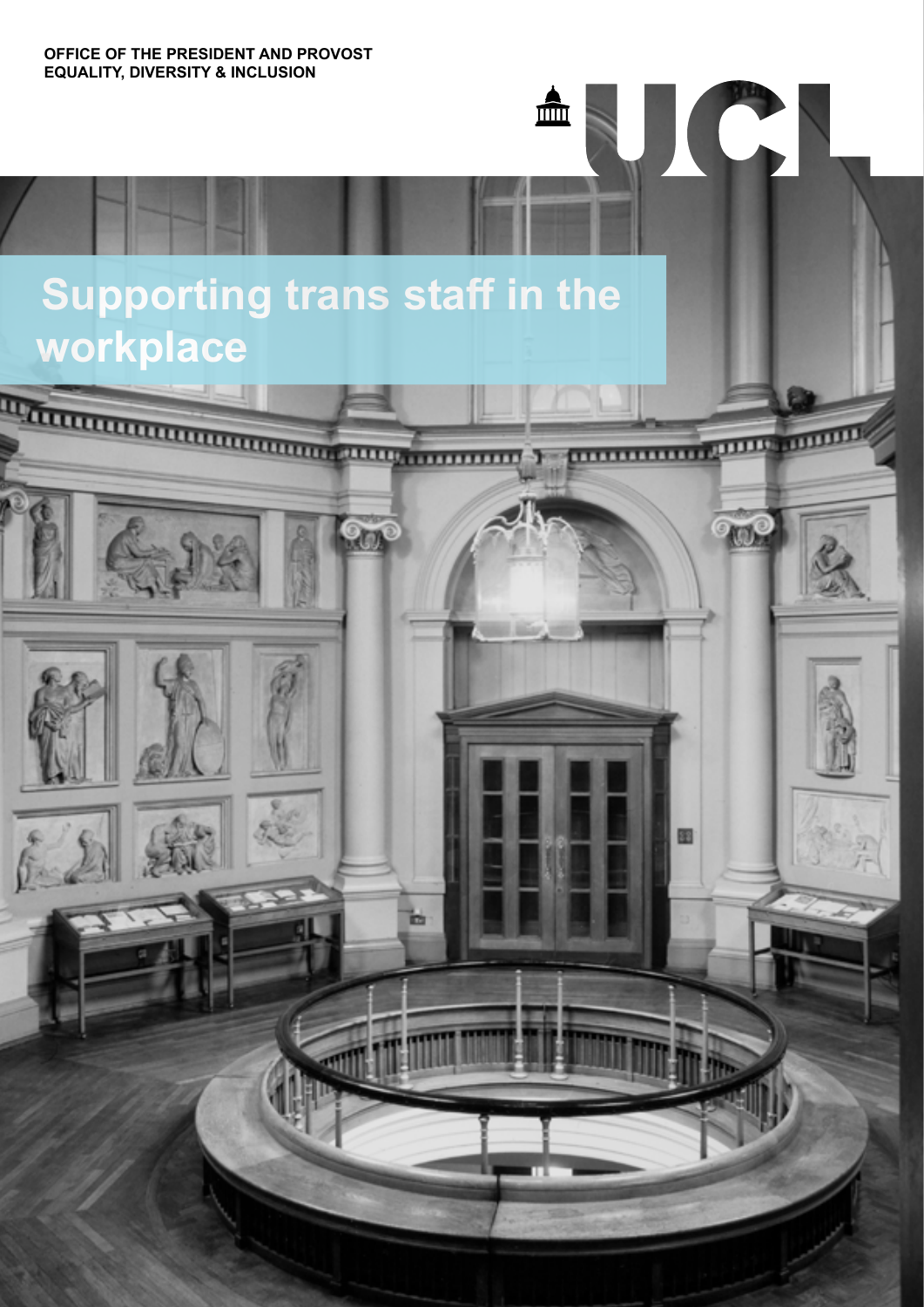**OFFICE OF THE PRESIDENT AND PROVOST EQUALITY, DIVERSITY & INCLUSION**

# **Supporting trans staff in the workplace**



 $\blacksquare$ 

JC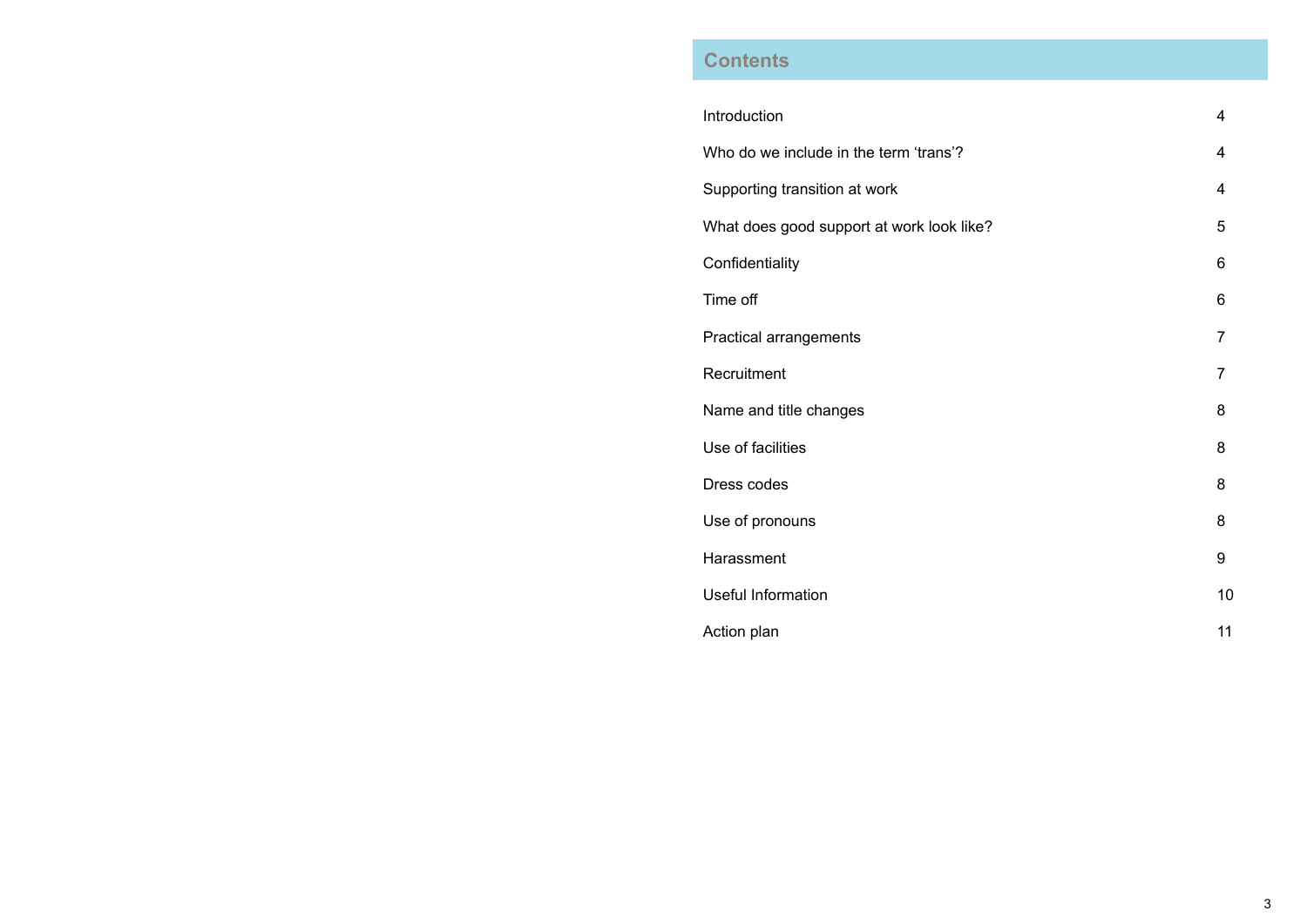3

# Introduction 4 Supporting transition at work 4 What does good support at work look like? The state of the state of 5 Confidentiality 6 Time off  $\qquad \qquad 6$ Practical arrangements 7 Recruitment 7 Name and title changes 8 Use of facilities 8 Dress codes 8 Use of pronouns and the set of the set of the set of the set of the set of the set of the set of the set of the set of the set of the set of the set of the set of the set of the set of the set of the set of the set of the Harassment 9 Useful Information 10 Action plan 11

# **Contents**

Who do we include in the term 'trans'?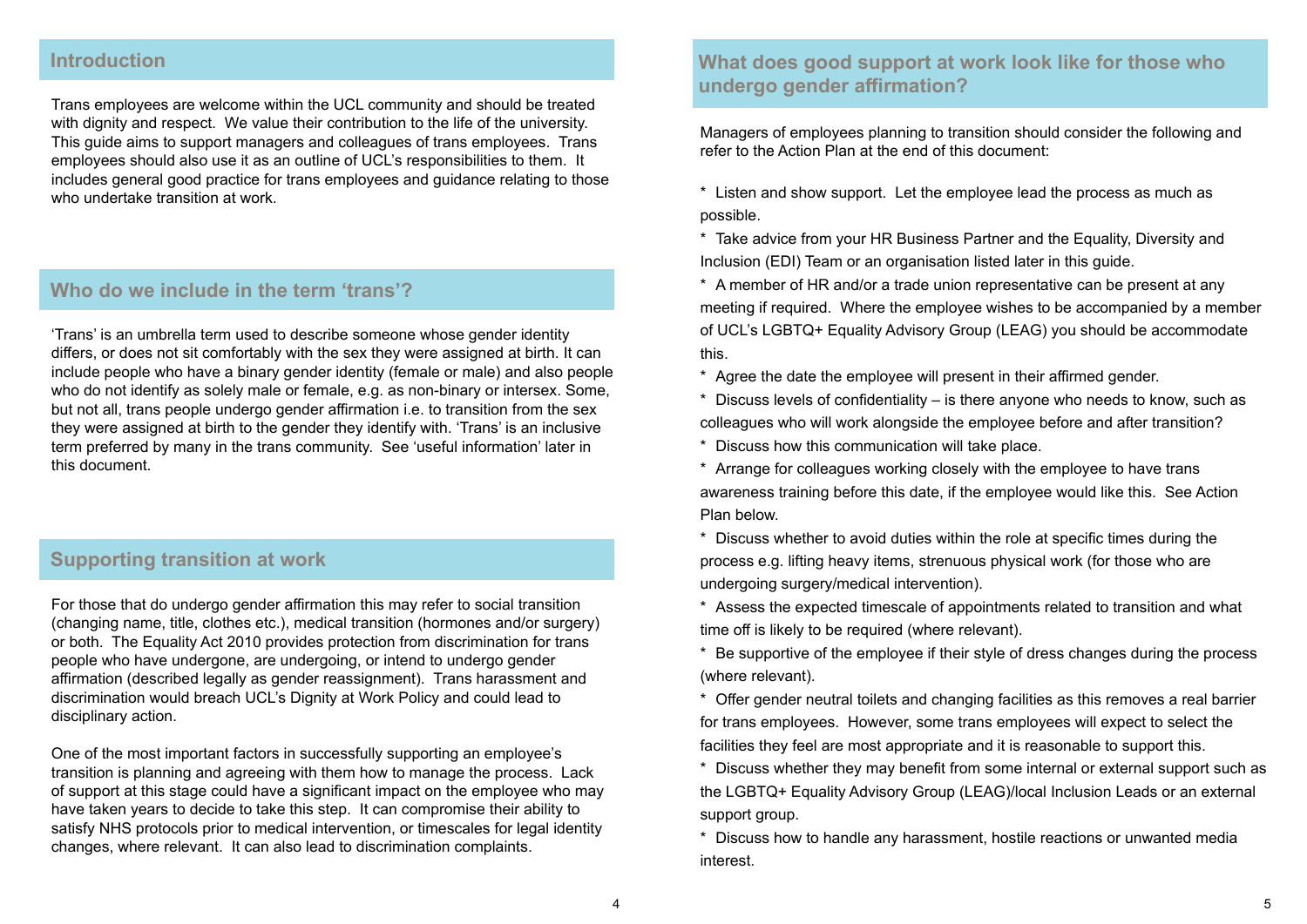Managers of employees planning to transition should consider the following and refer to the Action Plan at the end of this document:

\* Listen and show support. Let the employee lead the process as much as possible.

\* Take advice from your HR Business Partner and the Equality, Diversity and Inclusion (EDI) Team or an organisation listed later in this guide.

\* A member of HR and/or a trade union representative can be present at any meeting if required. Where the employee wishes to be accompanied by a member of UCL's LGBTQ+ Equality Advisory Group (LEAG) you should be accommodate this.

\* Agree the date the employee will present in their affirmed gender. \* Discuss levels of confidentiality – is there anyone who needs to know, such as colleagues who will work alongside the employee before and after transition? \* Discuss how this communication will take place.

\* Arrange for colleagues working closely with the employee to have trans awareness training before this date, if the employee would like this. See Action Plan below.

\* Discuss whether to avoid duties within the role at specific times during the process e.g. lifting heavy items, strenuous physical work (for those who are undergoing surgery/medical intervention).

\* Assess the expected timescale of appointments related to transition and what time off is likely to be required (where relevant).

\* Be supportive of the employee if their style of dress changes during the process (where relevant).

\* Offer gender neutral toilets and changing facilities as this removes a real barrier for trans employees. However, some trans employees will expect to select the facilities they feel are most appropriate and it is reasonable to support this. \* Discuss whether they may benefit from some internal or external support such as the LGBTQ+ Equality Advisory Group (LEAG)/local Inclusion Leads or an external

support group.

\* Discuss how to handle any harassment, hostile reactions or unwanted media interest.

'Trans' is an umbrella term used to describe someone whose gender identity differs, or does not sit comfortably with the sex they were assigned at birth. It can include people who have a binary gender identity (female or male) and also people who do not identify as solely male or female, e.g. as non-binary or intersex. Some, but not all, trans people undergo gender affirmation i.e. to transition from the sex they were assigned at birth to the gender they identify with. 'Trans' is an inclusive term preferred by many in the trans community. See 'useful information' later in this document.

Trans employees are welcome within the UCL community and should be treated with dignity and respect. We value their contribution to the life of the university. This guide aims to support managers and colleagues of trans employees. Trans employees should also use it as an outline of UCL's responsibilities to them. It includes general good practice for trans employees and guidance relating to those who undertake transition at work.

For those that do undergo gender affirmation this may refer to social transition (changing name, title, clothes etc.), medical transition (hormones and/or surgery) or both. The Equality Act 2010 provides protection from discrimination for trans people who have undergone, are undergoing, or intend to undergo gender affirmation (described legally as gender reassignment). Trans harassment and discrimination would breach UCL's Dignity at Work Policy and could lead to disciplinary action.

One of the most important factors in successfully supporting an employee's transition is planning and agreeing with them how to manage the process. Lack of support at this stage could have a significant impact on the employee who may have taken years to decide to take this step. It can compromise their ability to satisfy NHS protocols prior to medical intervention, or timescales for legal identity changes, where relevant. It can also lead to discrimination complaints.

### **Introduction**

## **Who do we include in the term 'trans'?**

### **Supporting transition at work**

# **What does good support at work look like for those who undergo gender affirmation?**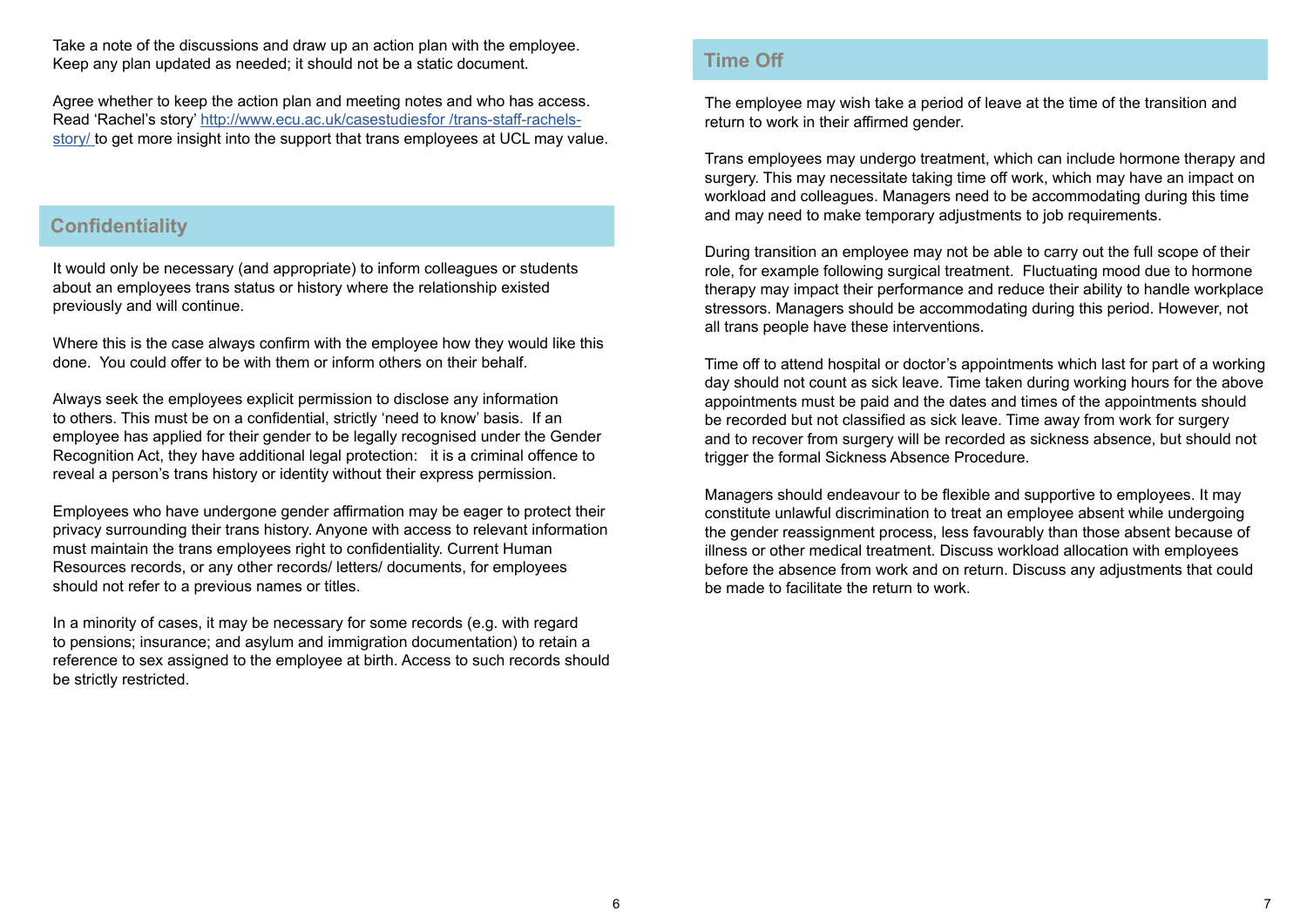#### **Confidentiality**

#### **Time Off**

It would only be necessary (and appropriate) to inform colleagues or students about an employees trans status or history where the relationship existed previously and will continue.

Where this is the case always confirm with the employee how they would like this done. You could offer to be with them or inform others on their behalf.

Always seek the employees explicit permission to disclose any information to others. This must be on a confidential, strictly 'need to know' basis. If an employee has applied for their gender to be legally recognised under the Gender Recognition Act, they have additional legal protection: it is a criminal offence to reveal a person's trans history or identity without their express permission.

Employees who have undergone gender affirmation may be eager to protect their privacy surrounding their trans history. Anyone with access to relevant information must maintain the trans employees right to confidentiality. Current Human Resources records, or any other records/ letters/ documents, for employees should not refer to a previous names or titles.

In a minority of cases, it may be necessary for some records (e.g. with regard to pensions; insurance; and asylum and immigration documentation) to retain a reference to sex assigned to the employee at birth. Access to such records should be strictly restricted.

The employee may wish take a period of leave at the time of the transition and return to work in their affirmed gender.

Trans employees may undergo treatment, which can include hormone therapy and surgery. This may necessitate taking time off work, which may have an impact on workload and colleagues. Managers need to be accommodating during this time and may need to make temporary adjustments to job requirements.

During transition an employee may not be able to carry out the full scope of their role, for example following surgical treatment. Fluctuating mood due to hormone therapy may impact their performance and reduce their ability to handle workplace stressors. Managers should be accommodating during this period. However, not all trans people have these interventions.

Time off to attend hospital or doctor's appointments which last for part of a working day should not count as sick leave. Time taken during working hours for the above appointments must be paid and the dates and times of the appointments should be recorded but not classified as sick leave. Time away from work for surgery and to recover from surgery will be recorded as sickness absence, but should not trigger the formal Sickness Absence Procedure.

Managers should endeavour to be flexible and supportive to employees. It may constitute unlawful discrimination to treat an employee absent while undergoing the gender reassignment process, less favourably than those absent because of illness or other medical treatment. Discuss workload allocation with employees before the absence from work and on return. Discuss any adjustments that could be made to facilitate the return to work.

Take a note of the discussions and draw up an action plan with the employee. Keep any plan updated as needed; it should not be a static document.

Agree whether to keep the action plan and meeting notes and who has access. Read 'Rachel's story' [http://www.ecu.ac.uk/casestudiesfor](http://www.ecu.ac.uk/casestudiesfor /trans-staff-rachels-story/ ) /trans-staff-rachels[story/](http://www.ecu.ac.uk/casestudiesfor /trans-staff-rachels-story/ ) to get more insight into the support that trans employees at UCL may value.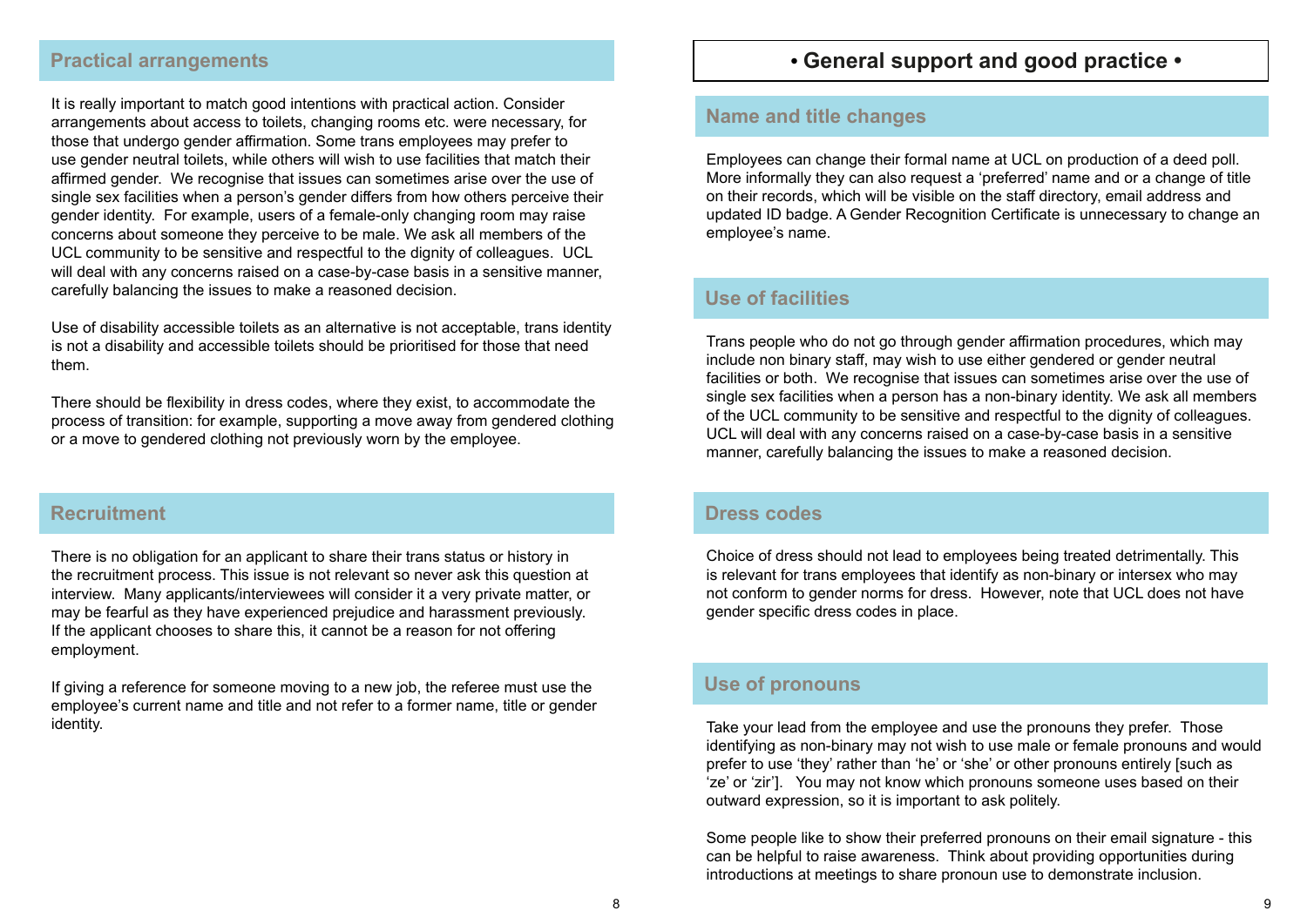# **• General support and good practice •**

#### **Name and title changes**

#### **Use of facilities**

#### **Dress codes**

#### **Use of pronouns**

Employees can change their formal name at UCL on production of a deed poll. More informally they can also request a 'preferred' name and or a change of title on their records, which will be visible on the staff directory, email address and updated ID badge. A Gender Recognition Certificate is unnecessary to change an employee's name.

Trans people who do not go through gender affirmation procedures, which may include non binary staff, may wish to use either gendered or gender neutral facilities or both. We recognise that issues can sometimes arise over the use of single sex facilities when a person has a non-binary identity. We ask all members of the UCL community to be sensitive and respectful to the dignity of colleagues. UCL will deal with any concerns raised on a case-by-case basis in a sensitive manner, carefully balancing the issues to make a reasoned decision.

Take your lead from the employee and use the pronouns they prefer. Those identifying as non-binary may not wish to use male or female pronouns and would prefer to use 'they' rather than 'he' or 'she' or other pronouns entirely [such as 'ze' or 'zir']. You may not know which pronouns someone uses based on their outward expression, so it is important to ask politely.

Some people like to show their preferred pronouns on their email signature - this can be helpful to raise awareness. Think about providing opportunities during introductions at meetings to share pronoun use to demonstrate inclusion.

Choice of dress should not lead to employees being treated detrimentally. This is relevant for trans employees that identify as non-binary or intersex who may not conform to gender norms for dress. However, note that UCL does not have gender specific dress codes in place.

There is no obligation for an applicant to share their trans status or history in the recruitment process. This issue is not relevant so never ask this question at interview. Many applicants/interviewees will consider it a very private matter, or may be fearful as they have experienced prejudice and harassment previously. If the applicant chooses to share this, it cannot be a reason for not offering employment.

If giving a reference for someone moving to a new job, the referee must use the employee's current name and title and not refer to a former name, title or gender identity.

#### **Recruitment**

It is really important to match good intentions with practical action. Consider arrangements about access to toilets, changing rooms etc. were necessary, for those that undergo gender affirmation. Some trans employees may prefer to use gender neutral toilets, while others will wish to use facilities that match their affirmed gender. We recognise that issues can sometimes arise over the use of single sex facilities when a person's gender differs from how others perceive their gender identity. For example, users of a female-only changing room may raise concerns about someone they perceive to be male. We ask all members of the UCL community to be sensitive and respectful to the dignity of colleagues. UCL will deal with any concerns raised on a case-by-case basis in a sensitive manner, carefully balancing the issues to make a reasoned decision.

Use of disability accessible toilets as an alternative is not acceptable, trans identity is not a disability and accessible toilets should be prioritised for those that need them.

There should be flexibility in dress codes, where they exist, to accommodate the process of transition: for example, supporting a move away from gendered clothing or a move to gendered clothing not previously worn by the employee.

### **Practical arrangements**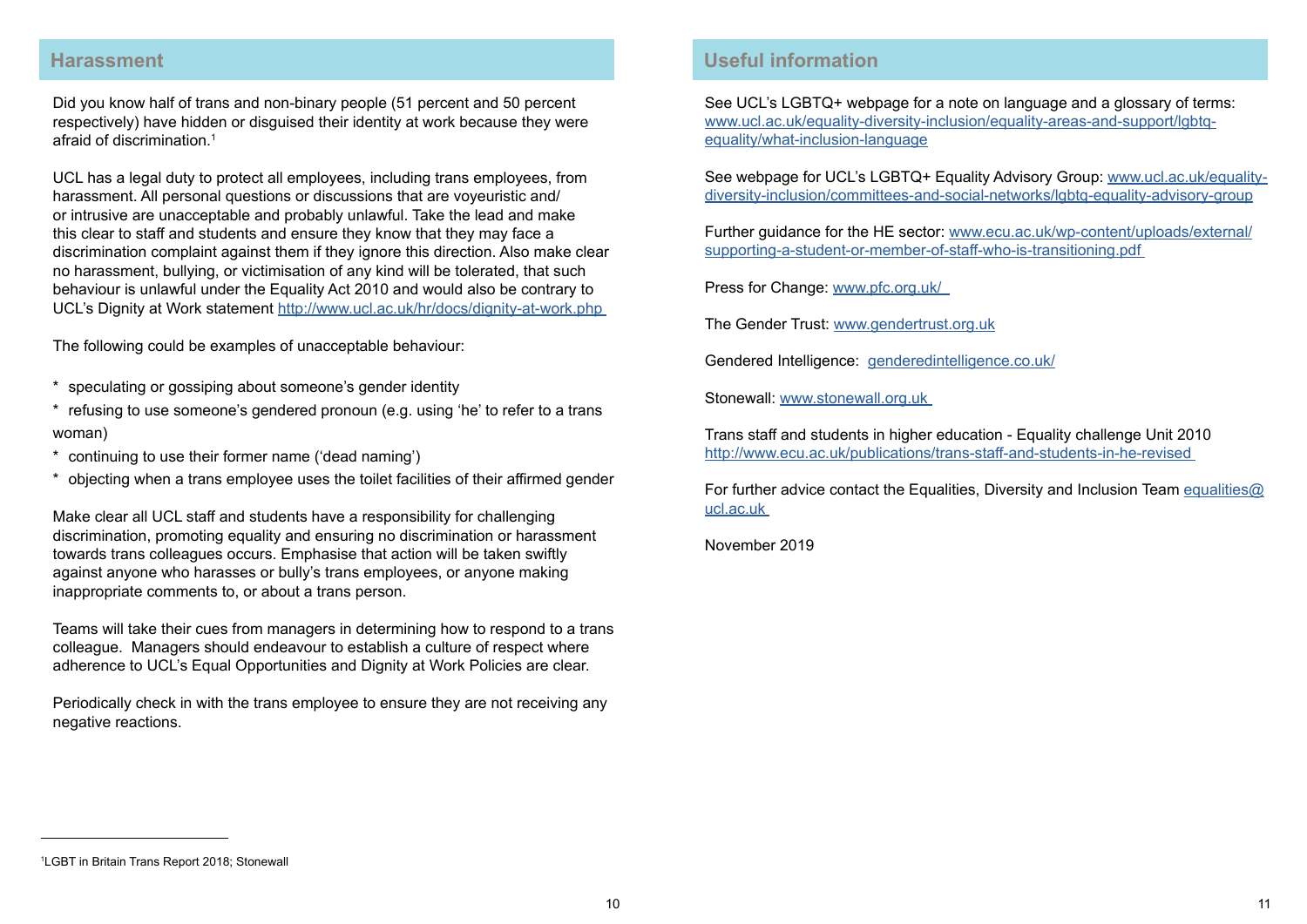Did you know half of trans and non-binary people (51 percent and 50 percent respectively) have hidden or disguised their identity at work because they were afraid of discrimination $1$ 

#### **Harassment**

UCL has a legal duty to protect all employees, including trans employees, from harassment. All personal questions or discussions that are voyeuristic and/ or intrusive are unacceptable and probably unlawful. Take the lead and make this clear to staff and students and ensure they know that they may face a discrimination complaint against them if they ignore this direction. Also make clear no harassment, bullying, or victimisation of any kind will be tolerated, that such behaviour is unlawful under the Equality Act 2010 and would also be contrary to UCL's Dignity at Work statement [http://www.ucl.ac.uk/hr/docs/dignity-at-work.php](http://www.ucl.ac.uk/hr/docs/dignity-at-work.php )

The following could be examples of unacceptable behaviour:

- \* speculating or gossiping about someone's gender identity
- \* refusing to use someone's gendered pronoun (e.g. using 'he' to refer to a trans woman)
- \* continuing to use their former name ('dead naming')
- \* objecting when a trans employee uses the toilet facilities of their affirmed gender

Make clear all UCL staff and students have a responsibility for challenging discrimination, promoting equality and ensuring no discrimination or harassment towards trans colleagues occurs. Emphasise that action will be taken swiftly against anyone who harasses or bully's trans employees, or anyone making inappropriate comments to, or about a trans person.

For further advice contact the Equalities, Diversity and Inclusion Team [equalities@](mailto:equalities@ucl.ac.uk  ) [ucl.ac.uk](mailto:equalities@ucl.ac.uk  ) 

Teams will take their cues from managers in determining how to respond to a trans colleague. Managers should endeavour to establish a culture of respect where adherence to UCL's Equal Opportunities and Dignity at Work Policies are clear.

Periodically check in with the trans employee to ensure they are not receiving any negative reactions.

## **Useful information**

See UCL's LGBTQ+ webpage for a note on language and a glossary of terms: [www.ucl.ac.uk/equality-diversity-inclusion/equality-areas-and-support/lgbtq](http://www.ucl.ac.uk/equality-diversity-inclusion/equality-areas-and-support/lgbtq-equality/what-inclusion-language)[equality/what-inclusion-language](http://www.ucl.ac.uk/equality-diversity-inclusion/equality-areas-and-support/lgbtq-equality/what-inclusion-language)

See webpage for UCL's LGBTQ+ Equality Advisory Group: [www.ucl.ac.uk/equality](http://www.ucl.ac.uk/equality-diversity-inclusion/committees-and-social-networks/lgbtq-equality-advisory-group)[diversity-inclusion/committees-and-social-networks/lgbtq-equality-advisory-group](http://www.ucl.ac.uk/equality-diversity-inclusion/committees-and-social-networks/lgbtq-equality-advisory-group)

Further guidance for the HE sector: [www.ecu.ac.uk/wp-content/uploads/external/](http://www.ecu.ac.uk/wp-content/uploads/external/supporting-a-student-or-member-of-staff-who-is-transitioning.pdf ) [supporting-a-student-or-member-of-staff-who-is-transitioning.pdf](http://www.ecu.ac.uk/wp-content/uploads/external/supporting-a-student-or-member-of-staff-who-is-transitioning.pdf )

Press for Change: [www.pfc.org.uk/](http://www.pfc.org.uk/  ) 

The Gender Trust: [www.gendertrust.org.uk](http://www.gendertrust.org.uk)

Gendered Intelligence: [genderedintelligence.co.uk/](http://genderedintelligence.co.uk/)

Stonewall: [www.stonewall.org.uk](http://www.stonewall.org.uk ) 

Trans staff and students in higher education - Equality challenge Unit 2010 [http://www.ecu.ac.uk/publications/trans-staff-and-students-in-he-revised](http://www.ecu.ac.uk/publications/trans-staff-and-students-in-he-revised )

November 2019

<sup>1</sup> LGBT in Britain Trans Report 2018; Stonewall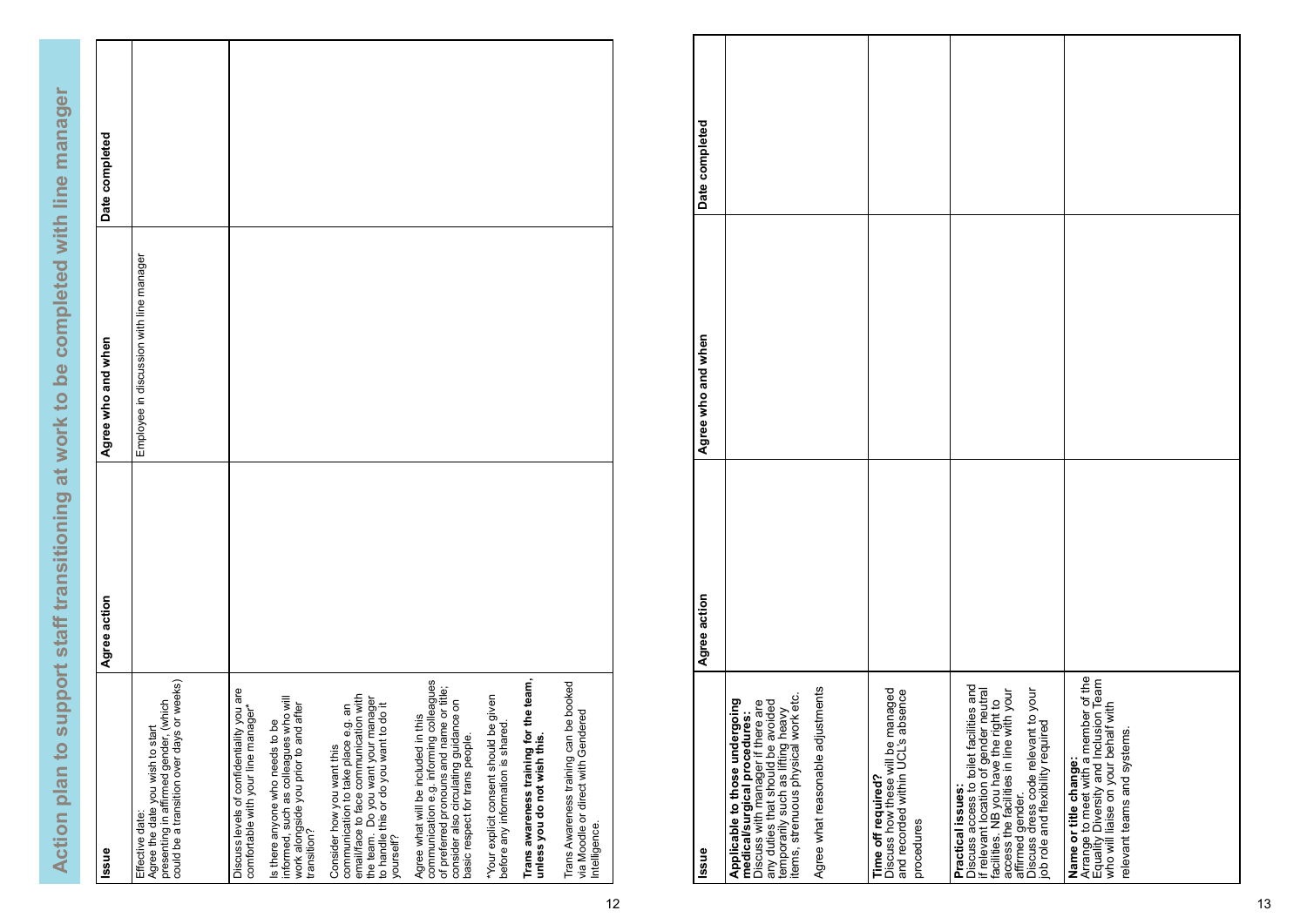Action plan to support staff transitioning at work to be completed with line manager  **Action plan to support staff transitioning at work to be completed with line manager**

| lssue                                                                                                                                                                                                   | Agree action | Agree who and when                       | Date completed |
|---------------------------------------------------------------------------------------------------------------------------------------------------------------------------------------------------------|--------------|------------------------------------------|----------------|
| could be a transition over days or weeks)<br>presenting in affirmed gender, (which<br>Agree the date you wish to start<br>Effective date:                                                               |              | Employee in discussion with line manager |                |
| Discuss levels of confidentiality you are<br>comfortable with your line manager*                                                                                                                        |              |                                          |                |
| informed, such as colleagues who will<br>work alongside you prior to and after<br>Is there anyone who needs to be<br>transition?                                                                        |              |                                          |                |
| email/face to face communication with<br>the team. Do you want your manager<br>to handle this or do you want to do it<br>communication to take place e.g. an<br>Consider how you want this<br>yourself? |              |                                          |                |
| communication e.g. informing colleagues<br>of preferred pronouns and name or title;<br>consider also circulating guidance on<br>Agree what will be included in this<br>basic respect for trans people.  |              |                                          |                |
| "Your explicit consent should be given<br>before any information is shared                                                                                                                              |              |                                          |                |
| Trans awareness training for the team,<br>unless you do not wish this.                                                                                                                                  |              |                                          |                |
| Trans Awareness training can be booked<br>via Moodle or direct with Gendered<br>Intelligence.                                                                                                           |              |                                          |                |

| Date completed     |                                                                                                                                                                                                                                                           |                                                                                                            |                                                                                                                                                                                                                                                                                           |                                                                                                                                                                              |
|--------------------|-----------------------------------------------------------------------------------------------------------------------------------------------------------------------------------------------------------------------------------------------------------|------------------------------------------------------------------------------------------------------------|-------------------------------------------------------------------------------------------------------------------------------------------------------------------------------------------------------------------------------------------------------------------------------------------|------------------------------------------------------------------------------------------------------------------------------------------------------------------------------|
|                    |                                                                                                                                                                                                                                                           |                                                                                                            |                                                                                                                                                                                                                                                                                           |                                                                                                                                                                              |
| Agree who and when |                                                                                                                                                                                                                                                           |                                                                                                            |                                                                                                                                                                                                                                                                                           |                                                                                                                                                                              |
| Agree action       |                                                                                                                                                                                                                                                           |                                                                                                            |                                                                                                                                                                                                                                                                                           |                                                                                                                                                                              |
| Issue              | Agree what reasonable adjustments<br>items, strenuous physical work etc.<br>Applicable to those undergoing<br>any duties that should be avoided<br>temporarily such as lifting heavy<br>Discuss with manager if there are<br>medical/surgical procedures: | Discuss how these will be managed<br>and recorded within UCL's absence<br>Time off required?<br>procedures | Discuss access to toilet facilities and<br>if relevant location of gender neutral<br>facilities. NB you have the right to<br>access the facilities in line with your<br>Discuss dress code relevant to your<br>job role and flexibility required<br>Practical issues:<br>affirmed gender. | Arrange to meet with a member of the<br>Equality Diversity and Inclusion Team<br>who will liaise on your behalf with<br>relevant teams and systems.<br>Name or title change: |